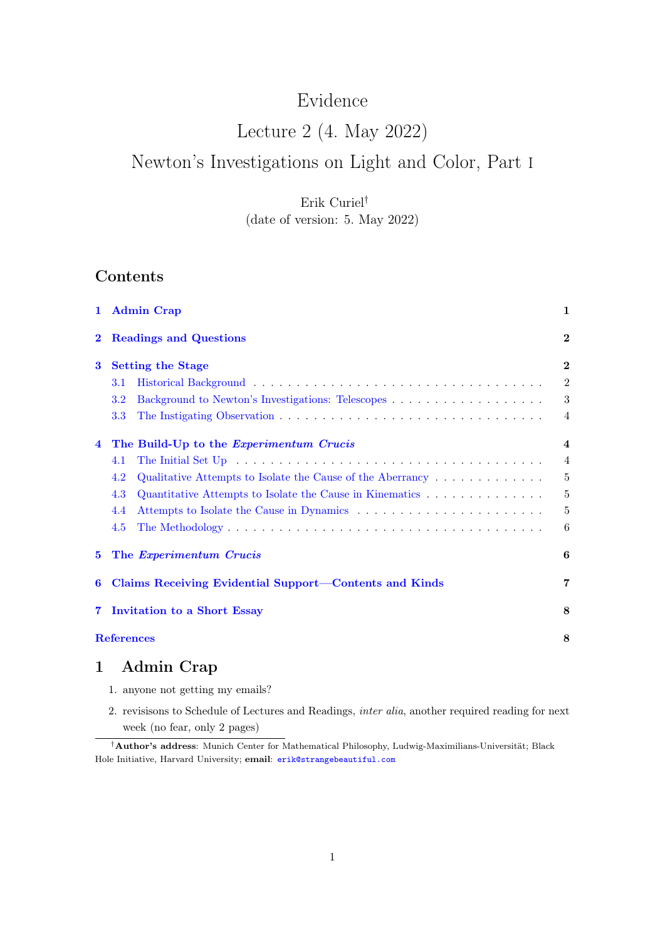# Evidence

# Lecture 2 (4. May 2022)

# Newton's Investigations on Light and Color, Part i

# Erik Curiel† (date of version: 5. May 2022)

# Contents

| $\mathbf{1}$   | <b>Admin Crap</b>                                                                           | 1                       |
|----------------|---------------------------------------------------------------------------------------------|-------------------------|
| $\bf{2}$       | <b>Readings and Questions</b>                                                               | $\bf{2}$                |
| 3              | <b>Setting the Stage</b>                                                                    | $\bf{2}$                |
|                | 3.1                                                                                         | $\overline{2}$          |
|                | 3.2                                                                                         | $\boldsymbol{3}$        |
|                | 3.3                                                                                         | 4                       |
| 4              | The Build-Up to the Experimentum Crucis                                                     | $\overline{\mathbf{4}}$ |
|                | 4.1                                                                                         | $\overline{4}$          |
|                | 4.2<br>Qualitative Attempts to Isolate the Cause of the Aberrancy $\dots \dots \dots \dots$ | 5                       |
|                | 4.3<br>Quantitative Attempts to Isolate the Cause in Kinematics                             | 5                       |
|                | 4.4                                                                                         | 5                       |
|                | 4.5                                                                                         | 6                       |
| $\bf{5}$       | The Experimentum Crucis                                                                     | 6                       |
| 6              | Claims Receiving Evidential Support—Contents and Kinds                                      | 7                       |
| $\overline{7}$ | <b>Invitation to a Short Essay</b>                                                          | 8                       |
|                | <b>References</b>                                                                           | 8                       |
| 1              | Admin Crap                                                                                  |                         |

- <span id="page-0-0"></span>1. anyone not getting my emails?
- 2. revisisons to Schedule of Lectures and Readings, inter alia, another required reading for next week (no fear, only 2 pages)

<sup>†</sup>Author's address: Munich Center for Mathematical Philosophy, Ludwig-Maximilians-Universität; Black Hole Initiative, Harvard University; email: [erik@strangebeautiful.com](mailto:erik@strangebeautiful.com)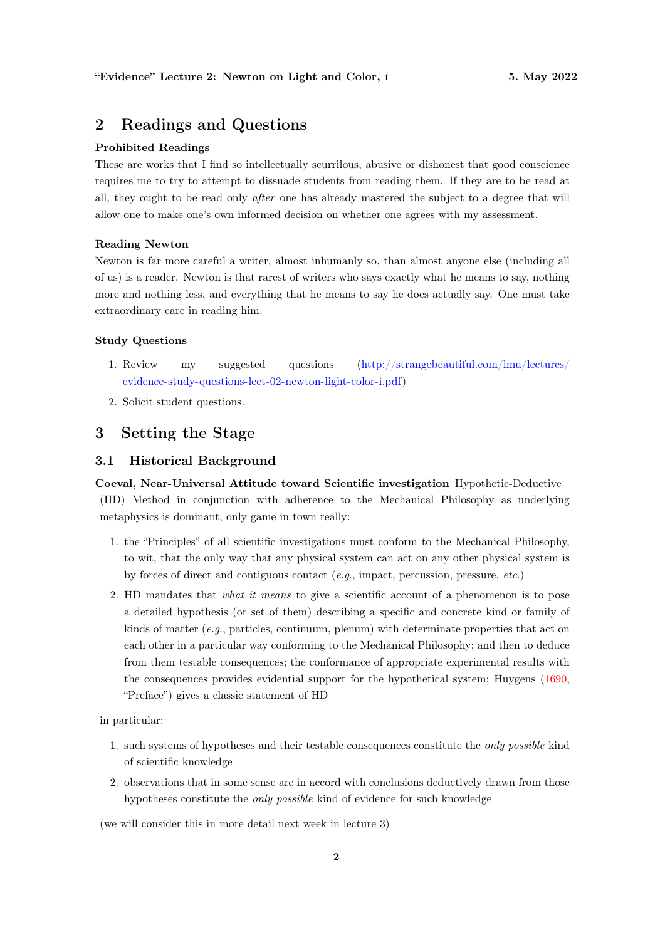# <span id="page-1-0"></span>2 Readings and Questions

#### Prohibited Readings

These are works that I find so intellectually scurrilous, abusive or dishonest that good conscience requires me to try to attempt to dissuade students from reading them. If they are to be read at all, they ought to be read only after one has already mastered the subject to a degree that will allow one to make one's own informed decision on whether one agrees with my assessment.

#### Reading Newton

Newton is far more careful a writer, almost inhumanly so, than almost anyone else (including all of us) is a reader. Newton is that rarest of writers who says exactly what he means to say, nothing more and nothing less, and everything that he means to say he does actually say. One must take extraordinary care in reading him.

#### Study Questions

- 1. Review my suggested questions [\(http://strangebeautiful.com/lmu/lectures/](http://strangebeautiful.com/lmu/lectures/evidence-study-questions-lect-02-newton-light-color-i.pdf) [evidence-study-questions-lect-02-newton-light-color-i.pdf\)](http://strangebeautiful.com/lmu/lectures/evidence-study-questions-lect-02-newton-light-color-i.pdf)
- 2. Solicit student questions.

# <span id="page-1-1"></span>3 Setting the Stage

#### <span id="page-1-2"></span>3.1 Historical Background

Coeval, Near-Universal Attitude toward Scientific investigation Hypothetic-Deductive (HD) Method in conjunction with adherence to the Mechanical Philosophy as underlying metaphysics is dominant, only game in town really:

- 1. the "Principles" of all scientific investigations must conform to the Mechanical Philosophy, to wit, that the only way that any physical system can act on any other physical system is by forces of direct and contiguous contact  $(e,q)$ , impact, percussion, pressure,  $etc.$ )
- 2. HD mandates that what it means to give a scientific account of a phenomenon is to pose a detailed hypothesis (or set of them) describing a specific and concrete kind or family of kinds of matter (e.g., particles, continuum, plenum) with determinate properties that act on each other in a particular way conforming to the Mechanical Philosophy; and then to deduce from them testable consequences; the conformance of appropriate experimental results with the consequences provides evidential support for the hypothetical system; Huygens [\(1690,](#page-7-1) "Preface") gives a classic statement of HD

in particular:

- 1. such systems of hypotheses and their testable consequences constitute the only possible kind of scientific knowledge
- 2. observations that in some sense are in accord with conclusions deductively drawn from those hypotheses constitute the only possible kind of evidence for such knowledge

(we will consider this in more detail next week in lecture 3)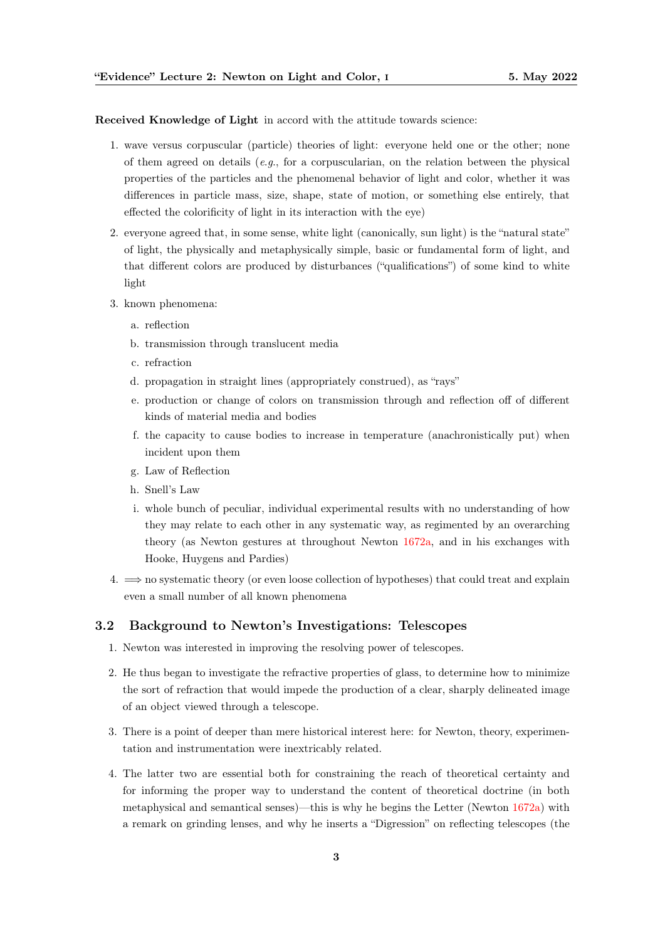Received Knowledge of Light in accord with the attitude towards science:

- 1. wave versus corpuscular (particle) theories of light: everyone held one or the other; none of them agreed on details  $(e.g., for a corpuscularian, on the relation between the physical$ properties of the particles and the phenomenal behavior of light and color, whether it was differences in particle mass, size, shape, state of motion, or something else entirely, that effected the colorificity of light in its interaction with the eye)
- 2. everyone agreed that, in some sense, white light (canonically, sun light) is the "natural state" of light, the physically and metaphysically simple, basic or fundamental form of light, and that different colors are produced by disturbances ("qualifications") of some kind to white light
- 3. known phenomena:
	- a. reflection
	- b. transmission through translucent media
	- c. refraction
	- d. propagation in straight lines (appropriately construed), as "rays"
	- e. production or change of colors on transmission through and reflection off of different kinds of material media and bodies
	- f. the capacity to cause bodies to increase in temperature (anachronistically put) when incident upon them
	- g. Law of Reflection
	- h. Snell's Law
	- i. whole bunch of peculiar, individual experimental results with no understanding of how they may relate to each other in any systematic way, as regimented by an overarching theory (as Newton gestures at throughout Newton [1672a,](#page-7-2) and in his exchanges with Hooke, Huygens and Pardies)
- $4. \implies$  no systematic theory (or even loose collection of hypotheses) that could treat and explain even a small number of all known phenomena

#### <span id="page-2-0"></span>3.2 Background to Newton's Investigations: Telescopes

- 1. Newton was interested in improving the resolving power of telescopes.
- 2. He thus began to investigate the refractive properties of glass, to determine how to minimize the sort of refraction that would impede the production of a clear, sharply delineated image of an object viewed through a telescope.
- 3. There is a point of deeper than mere historical interest here: for Newton, theory, experimentation and instrumentation were inextricably related.
- 4. The latter two are essential both for constraining the reach of theoretical certainty and for informing the proper way to understand the content of theoretical doctrine (in both metaphysical and semantical senses)—this is why he begins the Letter (Newton [1672a\)](#page-7-2) with a remark on grinding lenses, and why he inserts a "Digression" on reflecting telescopes (the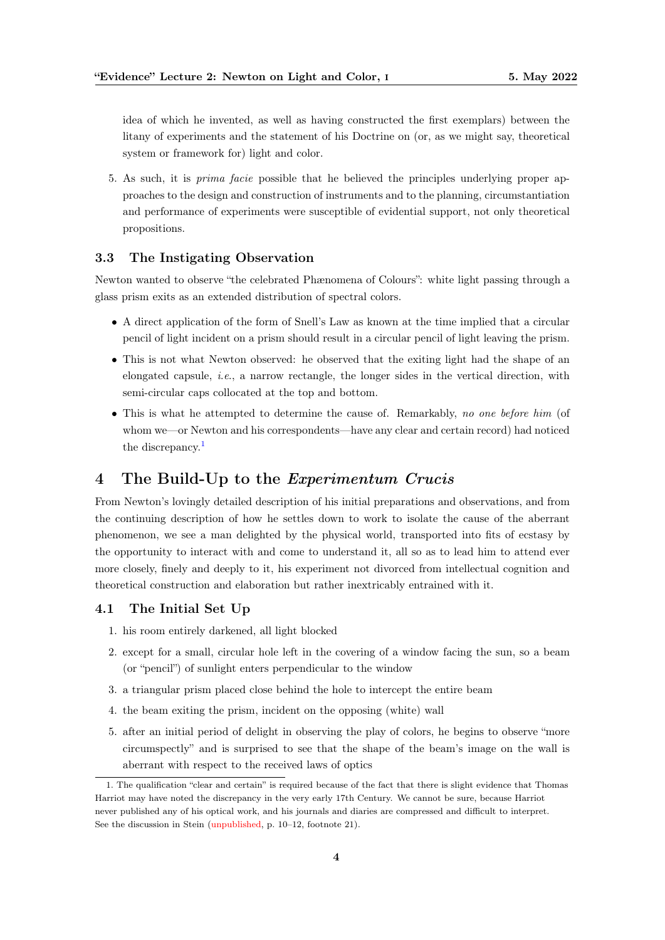idea of which he invented, as well as having constructed the first exemplars) between the litany of experiments and the statement of his Doctrine on (or, as we might say, theoretical system or framework for) light and color.

5. As such, it is prima facie possible that he believed the principles underlying proper approaches to the design and construction of instruments and to the planning, circumstantiation and performance of experiments were susceptible of evidential support, not only theoretical propositions.

## <span id="page-3-0"></span>3.3 The Instigating Observation

Newton wanted to observe "the celebrated Phænomena of Colours": white light passing through a glass prism exits as an extended distribution of spectral colors.

- A direct application of the form of Snell's Law as known at the time implied that a circular pencil of light incident on a prism should result in a circular pencil of light leaving the prism.
- This is not what Newton observed: he observed that the exiting light had the shape of an elongated capsule, *i.e.*, a narrow rectangle, the longer sides in the vertical direction, with semi-circular caps collocated at the top and bottom.
- This is what he attempted to determine the cause of. Remarkably, no one before him (of whom we—or Newton and his correspondents—have any clear and certain record) had noticed the discrepancy.<sup>[1](#page-3-3)</sup>

# <span id="page-3-1"></span>4 The Build-Up to the Experimentum Crucis

From Newton's lovingly detailed description of his initial preparations and observations, and from the continuing description of how he settles down to work to isolate the cause of the aberrant phenomenon, we see a man delighted by the physical world, transported into fits of ecstasy by the opportunity to interact with and come to understand it, all so as to lead him to attend ever more closely, finely and deeply to it, his experiment not divorced from intellectual cognition and theoretical construction and elaboration but rather inextricably entrained with it.

## <span id="page-3-2"></span>4.1 The Initial Set Up

- 1. his room entirely darkened, all light blocked
- 2. except for a small, circular hole left in the covering of a window facing the sun, so a beam (or "pencil") of sunlight enters perpendicular to the window
- 3. a triangular prism placed close behind the hole to intercept the entire beam
- 4. the beam exiting the prism, incident on the opposing (white) wall
- 5. after an initial period of delight in observing the play of colors, he begins to observe "more circumspectly" and is surprised to see that the shape of the beam's image on the wall is aberrant with respect to the received laws of optics

<span id="page-3-3"></span><sup>1.</sup> The qualification "clear and certain" is required because of the fact that there is slight evidence that Thomas Harriot may have noted the discrepancy in the very early 17th Century. We cannot be sure, because Harriot never published any of his optical work, and his journals and diaries are compressed and difficult to interpret. See the discussion in Stein [\(unpublished,](#page-7-3) p. 10–12, footnote 21).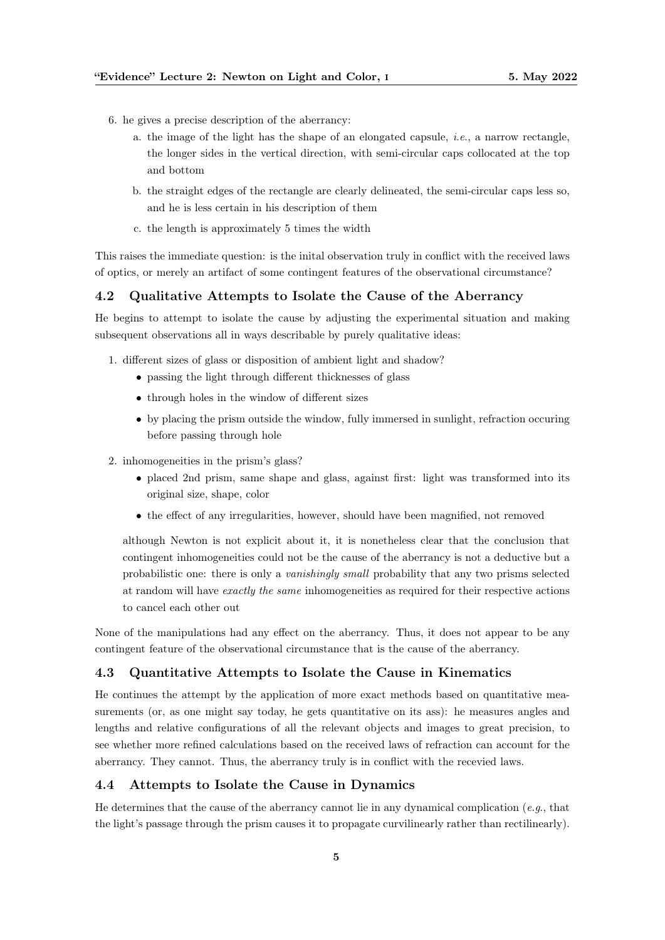- 6. he gives a precise description of the aberrancy:
	- a. the image of the light has the shape of an elongated capsule, i.e., a narrow rectangle, the longer sides in the vertical direction, with semi-circular caps collocated at the top and bottom
	- b. the straight edges of the rectangle are clearly delineated, the semi-circular caps less so, and he is less certain in his description of them
	- c. the length is approximately 5 times the width

This raises the immediate question: is the inital observation truly in conflict with the received laws of optics, or merely an artifact of some contingent features of the observational circumstance?

#### <span id="page-4-0"></span>4.2 Qualitative Attempts to Isolate the Cause of the Aberrancy

He begins to attempt to isolate the cause by adjusting the experimental situation and making subsequent observations all in ways describable by purely qualitative ideas:

- 1. different sizes of glass or disposition of ambient light and shadow?
	- passing the light through different thicknesses of glass
	- through holes in the window of different sizes
	- by placing the prism outside the window, fully immersed in sunlight, refraction occuring before passing through hole
- 2. inhomogeneities in the prism's glass?
	- placed 2nd prism, same shape and glass, against first: light was transformed into its original size, shape, color
	- the effect of any irregularities, however, should have been magnified, not removed

although Newton is not explicit about it, it is nonetheless clear that the conclusion that contingent inhomogeneities could not be the cause of the aberrancy is not a deductive but a probabilistic one: there is only a vanishingly small probability that any two prisms selected at random will have exactly the same inhomogeneities as required for their respective actions to cancel each other out

None of the manipulations had any effect on the aberrancy. Thus, it does not appear to be any contingent feature of the observational circumstance that is the cause of the aberrancy.

#### <span id="page-4-1"></span>4.3 Quantitative Attempts to Isolate the Cause in Kinematics

He continues the attempt by the application of more exact methods based on quantitative measurements (or, as one might say today, he gets quantitative on its ass): he measures angles and lengths and relative configurations of all the relevant objects and images to great precision, to see whether more refined calculations based on the received laws of refraction can account for the aberrancy. They cannot. Thus, the aberrancy truly is in conflict with the recevied laws.

#### <span id="page-4-2"></span>4.4 Attempts to Isolate the Cause in Dynamics

He determines that the cause of the aberrancy cannot lie in any dynamical complication (e.g., that the light's passage through the prism causes it to propagate curvilinearly rather than rectilinearly).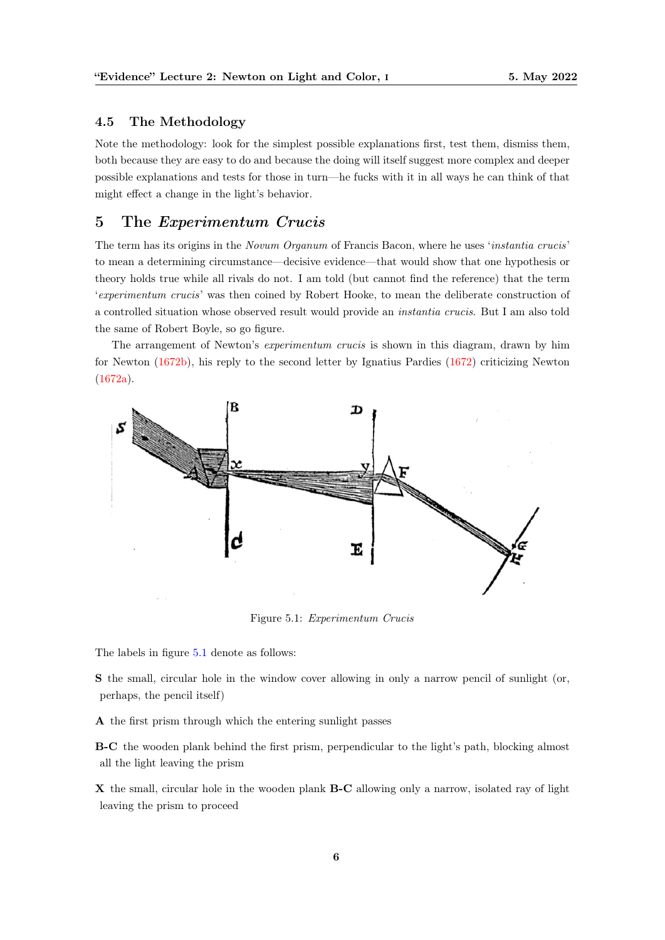## <span id="page-5-0"></span>4.5 The Methodology

Note the methodology: look for the simplest possible explanations first, test them, dismiss them, both because they are easy to do and because the doing will itself suggest more complex and deeper possible explanations and tests for those in turn—he fucks with it in all ways he can think of that might effect a change in the light's behavior.

# <span id="page-5-1"></span>5 The Experimentum Crucis

The term has its origins in the Novum Organum of Francis Bacon, where he uses 'instantia crucis' to mean a determining circumstance—decisive evidence—that would show that one hypothesis or theory holds true while all rivals do not. I am told (but cannot find the reference) that the term 'experimentum crucis' was then coined by Robert Hooke, to mean the deliberate construction of a controlled situation whose observed result would provide an instantia crucis. But I am also told the same of Robert Boyle, so go figure.

The arrangement of Newton's *experimentum crucis* is shown in this diagram, drawn by him for Newton [\(1672b\)](#page-7-4), his reply to the second letter by Ignatius Pardies [\(1672\)](#page-7-5) criticizing Newton [\(1672a\)](#page-7-2).

<span id="page-5-2"></span>

Figure 5.1: Experimentum Crucis

The labels in figure [5.1](#page-5-2) denote as follows:

S the small, circular hole in the window cover allowing in only a narrow pencil of sunlight (or, perhaps, the pencil itself)

A the first prism through which the entering sunlight passes

B-C the wooden plank behind the first prism, perpendicular to the light's path, blocking almost all the light leaving the prism

X the small, circular hole in the wooden plank **B-C** allowing only a narrow, isolated ray of light leaving the prism to proceed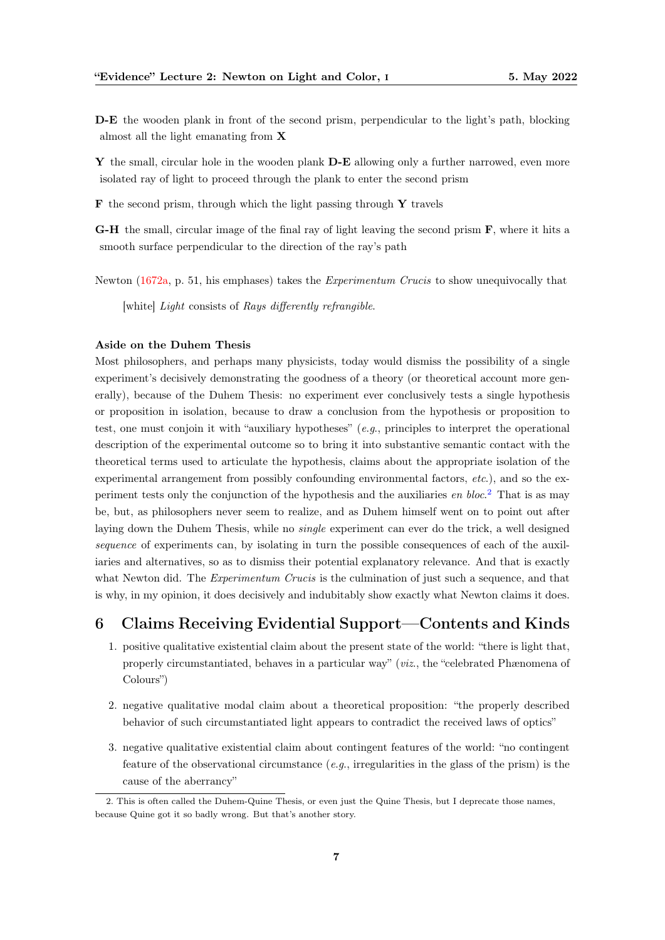D-E the wooden plank in front of the second prism, perpendicular to the light's path, blocking almost all the light emanating from X

Y the small, circular hole in the wooden plank  $D-E$  allowing only a further narrowed, even more isolated ray of light to proceed through the plank to enter the second prism

 $\bf{F}$  the second prism, through which the light passing through  $\bf{Y}$  travels

G-H the small, circular image of the final ray of light leaving the second prism F, where it hits a smooth surface perpendicular to the direction of the ray's path

Newton [\(1672a,](#page-7-2) p. 51, his emphases) takes the *Experimentum Crucis* to show unequivocally that

[white] Light consists of Rays differently refrangible.

#### Aside on the Duhem Thesis

Most philosophers, and perhaps many physicists, today would dismiss the possibility of a single experiment's decisively demonstrating the goodness of a theory (or theoretical account more generally), because of the Duhem Thesis: no experiment ever conclusively tests a single hypothesis or proposition in isolation, because to draw a conclusion from the hypothesis or proposition to test, one must conjoin it with "auxiliary hypotheses" (e.g., principles to interpret the operational description of the experimental outcome so to bring it into substantive semantic contact with the theoretical terms used to articulate the hypothesis, claims about the appropriate isolation of the experimental arrangement from possibly confounding environmental factors,  $etc.$ ), and so the experiment tests only the conjunction of the hypothesis and the auxiliaries en  $block^2$  $block^2$  That is as may be, but, as philosophers never seem to realize, and as Duhem himself went on to point out after laying down the Duhem Thesis, while no single experiment can ever do the trick, a well designed sequence of experiments can, by isolating in turn the possible consequences of each of the auxiliaries and alternatives, so as to dismiss their potential explanatory relevance. And that is exactly what Newton did. The *Experimentum Crucis* is the culmination of just such a sequence, and that is why, in my opinion, it does decisively and indubitably show exactly what Newton claims it does.

# <span id="page-6-0"></span>6 Claims Receiving Evidential Support—Contents and Kinds

- 1. positive qualitative existential claim about the present state of the world: "there is light that, properly circumstantiated, behaves in a particular way" (viz., the "celebrated Phænomena of Colours")
- 2. negative qualitative modal claim about a theoretical proposition: "the properly described behavior of such circumstantiated light appears to contradict the received laws of optics"
- 3. negative qualitative existential claim about contingent features of the world: "no contingent feature of the observational circumstance (e.g., irregularities in the glass of the prism) is the cause of the aberrancy"

<span id="page-6-1"></span><sup>2.</sup> This is often called the Duhem-Quine Thesis, or even just the Quine Thesis, but I deprecate those names, because Quine got it so badly wrong. But that's another story.